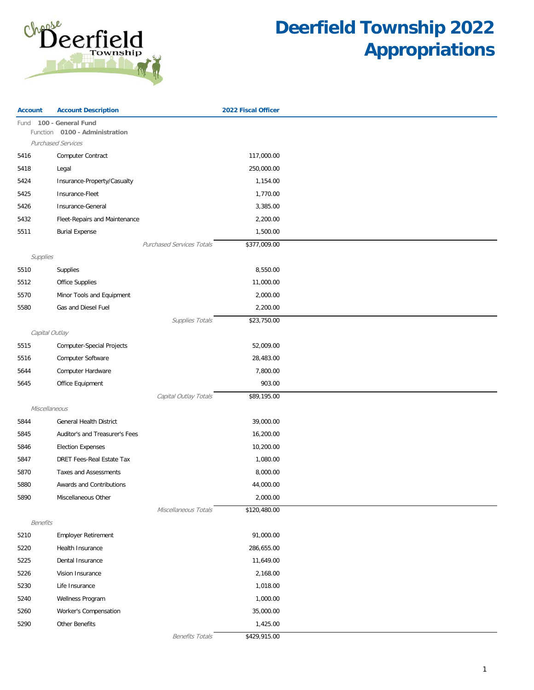

| Fund 100 - General Fund<br>0100 - Administration<br>Function<br><b>Purchased Services</b><br>117,000.00<br>5416<br><b>Computer Contract</b><br>5418<br>250,000.00<br>Legal<br>5424<br>Insurance-Property/Casualty<br>1,154.00<br>Insurance-Fleet<br>1,770.00<br>5425<br>Insurance-General<br>3,385.00<br>5426<br>2,200.00<br>5432<br>Fleet-Repairs and Maintenance<br>5511<br><b>Burial Expense</b><br>1,500.00 |  |
|-----------------------------------------------------------------------------------------------------------------------------------------------------------------------------------------------------------------------------------------------------------------------------------------------------------------------------------------------------------------------------------------------------------------|--|
|                                                                                                                                                                                                                                                                                                                                                                                                                 |  |
|                                                                                                                                                                                                                                                                                                                                                                                                                 |  |
|                                                                                                                                                                                                                                                                                                                                                                                                                 |  |
|                                                                                                                                                                                                                                                                                                                                                                                                                 |  |
|                                                                                                                                                                                                                                                                                                                                                                                                                 |  |
|                                                                                                                                                                                                                                                                                                                                                                                                                 |  |
|                                                                                                                                                                                                                                                                                                                                                                                                                 |  |
|                                                                                                                                                                                                                                                                                                                                                                                                                 |  |
|                                                                                                                                                                                                                                                                                                                                                                                                                 |  |
|                                                                                                                                                                                                                                                                                                                                                                                                                 |  |
| Purchased Services Totals<br>\$377,009.00                                                                                                                                                                                                                                                                                                                                                                       |  |
| Supplies                                                                                                                                                                                                                                                                                                                                                                                                        |  |
| 8,550.00<br>5510<br>Supplies                                                                                                                                                                                                                                                                                                                                                                                    |  |
| 11,000.00<br>5512<br><b>Office Supplies</b>                                                                                                                                                                                                                                                                                                                                                                     |  |
| Minor Tools and Equipment<br>2,000.00<br>5570                                                                                                                                                                                                                                                                                                                                                                   |  |
| 5580<br>Gas and Diesel Fuel<br>2,200.00                                                                                                                                                                                                                                                                                                                                                                         |  |
| \$23,750.00<br>Supplies Totals                                                                                                                                                                                                                                                                                                                                                                                  |  |
| Capital Outlay                                                                                                                                                                                                                                                                                                                                                                                                  |  |
| 52,009.00<br>5515<br><b>Computer-Special Projects</b>                                                                                                                                                                                                                                                                                                                                                           |  |
| 5516<br>Computer Software<br>28,483.00                                                                                                                                                                                                                                                                                                                                                                          |  |
| 7,800.00<br>Computer Hardware<br>5644                                                                                                                                                                                                                                                                                                                                                                           |  |
| 903.00<br>5645<br>Office Equipment                                                                                                                                                                                                                                                                                                                                                                              |  |
| Capital Outlay Totals<br>\$89,195.00                                                                                                                                                                                                                                                                                                                                                                            |  |
| Miscellaneous                                                                                                                                                                                                                                                                                                                                                                                                   |  |
| <b>General Health District</b><br>39,000.00<br>5844                                                                                                                                                                                                                                                                                                                                                             |  |
| 16,200.00<br>5845<br>Auditor's and Treasurer's Fees                                                                                                                                                                                                                                                                                                                                                             |  |
| <b>Election Expenses</b><br>10,200.00<br>5846                                                                                                                                                                                                                                                                                                                                                                   |  |
| DRET Fees-Real Estate Tax<br>1,080.00<br>5847                                                                                                                                                                                                                                                                                                                                                                   |  |
| 5870<br>Taxes and Assessments<br>8,000.00                                                                                                                                                                                                                                                                                                                                                                       |  |
| 5880<br>Awards and Contributions<br>44,000.00                                                                                                                                                                                                                                                                                                                                                                   |  |
| 2,000.00<br>5890<br>Miscellaneous Other                                                                                                                                                                                                                                                                                                                                                                         |  |
| Miscellaneous Totals<br>\$120,480.00                                                                                                                                                                                                                                                                                                                                                                            |  |
| <b>Benefits</b>                                                                                                                                                                                                                                                                                                                                                                                                 |  |
| 91,000.00<br>5210<br><b>Employer Retirement</b>                                                                                                                                                                                                                                                                                                                                                                 |  |
| 5220<br>286,655.00<br>Health Insurance                                                                                                                                                                                                                                                                                                                                                                          |  |
| 11,649.00<br>5225<br>Dental Insurance                                                                                                                                                                                                                                                                                                                                                                           |  |
| 5226<br>2,168.00<br>Vision Insurance                                                                                                                                                                                                                                                                                                                                                                            |  |
| 5230<br>Life Insurance<br>1,018.00                                                                                                                                                                                                                                                                                                                                                                              |  |
| 1,000.00<br>5240<br>Wellness Program                                                                                                                                                                                                                                                                                                                                                                            |  |
| Worker's Compensation<br>35,000.00<br>5260                                                                                                                                                                                                                                                                                                                                                                      |  |
| 5290<br>Other Benefits<br>1,425.00                                                                                                                                                                                                                                                                                                                                                                              |  |
| <b>Benefits Totals</b><br>\$429,915.00                                                                                                                                                                                                                                                                                                                                                                          |  |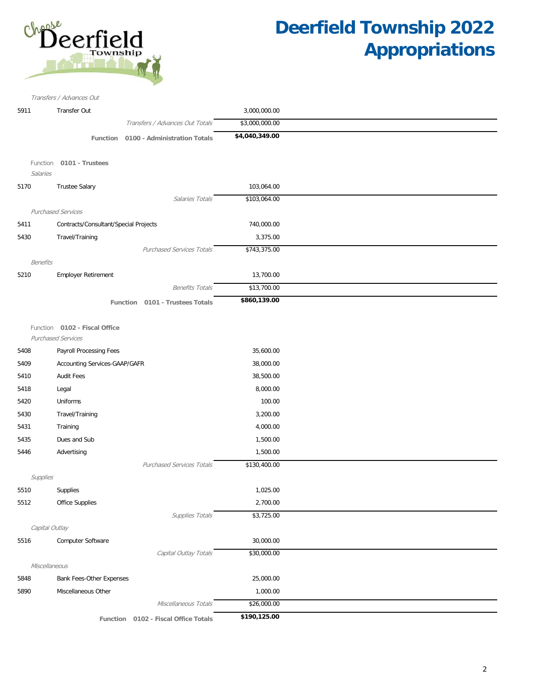

|                 | Transfers / Advances Out                 |                |
|-----------------|------------------------------------------|----------------|
| 5911            | Transfer Out                             | 3,000,000.00   |
|                 | Transfers / Advances Out Totals          | \$3,000,000.00 |
|                 | 0100 - Administration Totals<br>Function | \$4,040,349.00 |
|                 |                                          |                |
| Function        | 0101 - Trustees                          |                |
| Salaries        |                                          |                |
| 5170            | <b>Trustee Salary</b>                    | 103,064.00     |
|                 | Salaries Totals                          | \$103,064.00   |
|                 | <b>Purchased Services</b>                |                |
| 5411            | Contracts/Consultant/Special Projects    | 740,000.00     |
| 5430            | Travel/Training                          | 3,375.00       |
|                 | <b>Purchased Services Totals</b>         | \$743,375.00   |
| <b>Benefits</b> |                                          |                |
| 5210            | Employer Retirement                      | 13,700.00      |
|                 | <b>Benefits Totals</b>                   | \$13,700.00    |
|                 | Function 0101 - Trustees Totals          | \$860,139.00   |
|                 |                                          |                |
|                 | Function 0102 - Fiscal Office            |                |
|                 | <b>Purchased Services</b>                |                |
| 5408            | Payroll Processing Fees                  | 35,600.00      |
| 5409            | Accounting Services-GAAP/GAFR            | 38,000.00      |
| 5410            | <b>Audit Fees</b>                        | 38,500.00      |
| 5418            | Legal                                    | 8,000.00       |
| 5420            | Uniforms                                 | 100.00         |
| 5430            | Travel/Training                          | 3,200.00       |
| 5431            | Training                                 | 4,000.00       |
| 5435            | Dues and Sub                             | 1,500.00       |
|                 |                                          |                |
| 5446            | Advertising                              | 1,500.00       |
|                 | <b>Purchased Services Totals</b>         | \$130,400.00   |
| Supplies        |                                          |                |
| 5510            | Supplies                                 | 1,025.00       |
| 5512            | Office Supplies                          | 2,700.00       |
|                 | Supplies Totals                          | \$3,725.00     |
|                 | Capital Outlay                           |                |
| 5516            | Computer Software                        | 30,000.00      |
|                 | Capital Outlay Totals                    | \$30,000.00    |
|                 | Miscellaneous                            |                |
| 5848            | Bank Fees-Other Expenses                 | 25,000.00      |
| 5890            | Miscellaneous Other                      | 1,000.00       |
|                 | Miscellaneous Totals                     | \$26,000.00    |
|                 | Function 0102 - Fiscal Office Totals     | \$190,125.00   |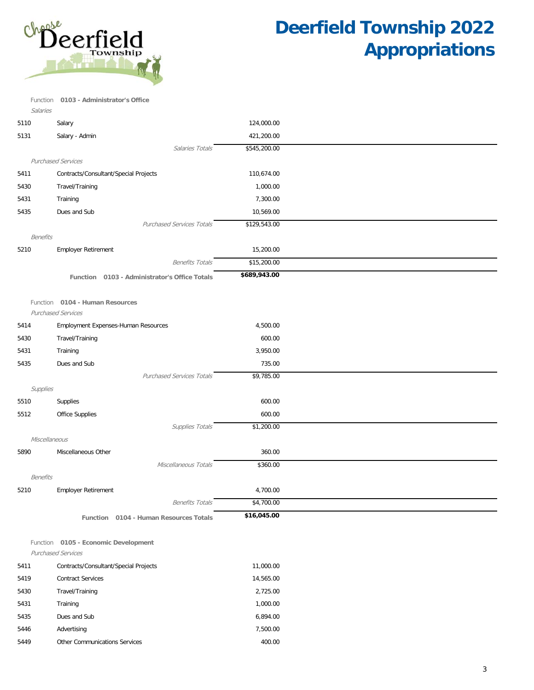

Calaries Function **0103 - Administrator's Office**

| <i>Jaiarics</i> |                                               |              |
|-----------------|-----------------------------------------------|--------------|
| 5110            | Salary                                        | 124,000.00   |
| 5131            | Salary - Admin                                | 421,200.00   |
|                 | Salaries Totals                               | \$545,200.00 |
|                 | <b>Purchased Services</b>                     |              |
| 5411            | Contracts/Consultant/Special Projects         | 110,674.00   |
| 5430            | Travel/Training                               | 1,000.00     |
| 5431            | Training                                      | 7,300.00     |
| 5435            | Dues and Sub                                  | 10,569.00    |
|                 | <b>Purchased Services Totals</b>              | \$129,543.00 |
| <b>Benefits</b> |                                               |              |
| 5210            | <b>Employer Retirement</b>                    | 15,200.00    |
|                 | <b>Benefits Totals</b>                        | \$15,200.00  |
|                 | Function 0103 - Administrator's Office Totals | \$689,943.00 |
|                 |                                               |              |
|                 | Function 0104 - Human Resources               |              |
|                 | <b>Purchased Services</b>                     |              |
| 5414            | Employment Expenses-Human Resources           | 4,500.00     |
| 5430            | Travel/Training                               | 600.00       |
| 5431            | Training                                      | 3,950.00     |
| 5435            | Dues and Sub                                  | 735.00       |
|                 | <b>Purchased Services Totals</b>              | \$9,785.00   |
| Supplies        |                                               |              |
| 5510            | Supplies                                      | 600.00       |
| 5512            | <b>Office Supplies</b>                        | 600.00       |
|                 | Supplies Totals                               | \$1,200.00   |
|                 | Miscellaneous                                 |              |
| 5890            | Miscellaneous Other                           | 360.00       |
|                 | Miscellaneous Totals                          | \$360.00     |
| Benefits        |                                               |              |
| 5210            | <b>Employer Retirement</b>                    | 4,700.00     |
|                 | <b>Benefits Totals</b>                        | \$4,700.00   |
|                 | Function 0104 - Human Resources Totals        | \$16,045.00  |
|                 |                                               |              |
|                 | Function 0105 - Economic Development          |              |
|                 | Purchased Services                            |              |
| 5411            | Contracts/Consultant/Special Projects         | 11,000.00    |
| 5419            | <b>Contract Services</b>                      | 14,565.00    |
| 5430            | Travel/Training                               | 2,725.00     |
| 5431            | Training                                      | 1,000.00     |
| 5435            | Dues and Sub                                  | 6,894.00     |
| 5446            | Advertising                                   | 7,500.00     |
| 5449            | Other Communications Services                 | 400.00       |
|                 |                                               |              |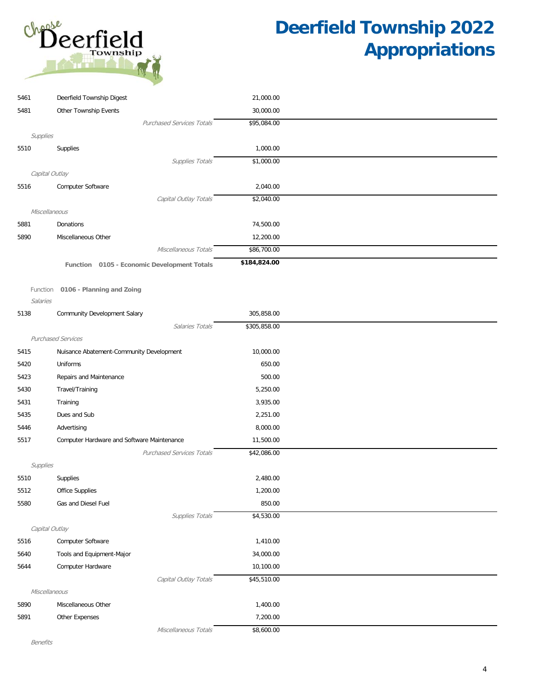

| 5461           | Deerfield Township Digest                   | 21,000.00    |  |
|----------------|---------------------------------------------|--------------|--|
| 5481           | Other Township Events                       | 30,000.00    |  |
|                | <b>Purchased Services Totals</b>            | \$95,084.00  |  |
| Supplies       |                                             |              |  |
| 5510           | Supplies                                    | 1,000.00     |  |
|                | Supplies Totals                             | \$1,000.00   |  |
| Capital Outlay |                                             |              |  |
| 5516           | Computer Software                           | 2,040.00     |  |
|                | Capital Outlay Totals                       | \$2,040.00   |  |
| Miscellaneous  |                                             |              |  |
| 5881           | Donations                                   | 74,500.00    |  |
| 5890           | Miscellaneous Other                         | 12,200.00    |  |
|                | Miscellaneous Totals                        | \$86,700.00  |  |
|                | Function 0105 - Economic Development Totals | \$184,824.00 |  |
|                |                                             |              |  |
| Function       | 0106 - Planning and Zoing                   |              |  |
| Salaries       |                                             |              |  |
| 5138           | Community Development Salary                | 305,858.00   |  |
|                | Salaries Totals                             | \$305,858.00 |  |
|                | Purchased Services                          |              |  |
| 5415           | Nuisance Abatement-Community Development    | 10,000.00    |  |
| 5420           | Uniforms                                    | 650.00       |  |
| 5423           | Repairs and Maintenance                     | 500.00       |  |
| 5430           | Travel/Training                             | 5,250.00     |  |
| 5431           | Training                                    | 3,935.00     |  |
| 5435           | Dues and Sub                                | 2,251.00     |  |
| 5446           | Advertising                                 | 8,000.00     |  |
| 5517           | Computer Hardware and Software Maintenance  | 11,500.00    |  |
|                | <b>Purchased Services Totals</b>            | \$42,086.00  |  |
| Supplies       |                                             |              |  |
| 5510           | Supplies                                    | 2,480.00     |  |
| 5512           | Office Supplies                             | 1,200.00     |  |
| 5580           | Gas and Diesel Fuel                         | 850.00       |  |
|                | Supplies Totals                             | \$4,530.00   |  |
| Capital Outlay |                                             |              |  |
| 5516           | Computer Software                           | 1,410.00     |  |
| 5640           | Tools and Equipment-Major                   | 34,000.00    |  |
| 5644           | Computer Hardware                           | 10,100.00    |  |
|                | Capital Outlay Totals                       | \$45,510.00  |  |
| Miscellaneous  |                                             |              |  |
| 5890           | Miscellaneous Other                         | 1,400.00     |  |
| 5891           | Other Expenses                              | 7,200.00     |  |
|                | Miscellaneous Totals                        | \$8,600.00   |  |

Benefits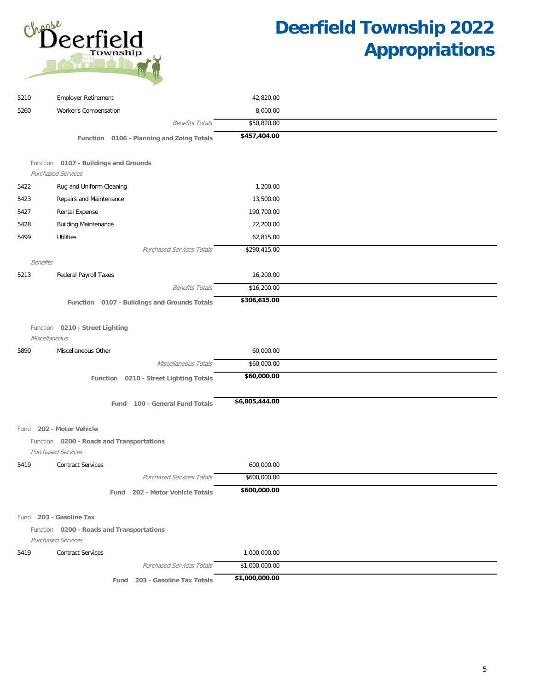

| 5210            | <b>Employer Retirement</b>                                             | 42,820.00      |  |
|-----------------|------------------------------------------------------------------------|----------------|--|
| 5260            | Worker's Compensation                                                  | 8,000.00       |  |
|                 | <b>Benefits Totals</b>                                                 | \$50,820.00    |  |
|                 | Function 0106 - Planning and Zoing Totals                              | \$457,404.00   |  |
|                 |                                                                        |                |  |
|                 | Function 0107 - Buildings and Grounds                                  |                |  |
|                 | <b>Purchased Services</b>                                              |                |  |
| 5422            | Rug and Uniform Cleaning                                               | 1,200.00       |  |
| 5423            | Repairs and Maintenance                                                | 13,500.00      |  |
| 5427            | Rental Expense                                                         | 190,700.00     |  |
| 5428            | <b>Building Maintenance</b>                                            | 22,200.00      |  |
| 5499            | <b>Utilities</b>                                                       | 62,815.00      |  |
|                 | <b>Purchased Services Totals</b>                                       | \$290,415.00   |  |
| <b>Benefits</b> |                                                                        |                |  |
| 5213            | Federal Payroll Taxes                                                  | 16,200.00      |  |
|                 | <b>Benefits Totals</b>                                                 | \$16,200.00    |  |
|                 | Function 0107 - Buildings and Grounds Totals                           | \$306,615.00   |  |
|                 |                                                                        |                |  |
|                 | Function 0210 - Street Lighting                                        |                |  |
|                 | Miscellaneous                                                          |                |  |
| 5890            | Miscellaneous Other                                                    | 60,000.00      |  |
|                 | Miscellaneous Totals                                                   | \$60,000.00    |  |
|                 | Function 0210 - Street Lighting Totals                                 | \$60,000.00    |  |
|                 |                                                                        |                |  |
|                 | Fund 100 - General Fund Totals                                         | \$6,805,444.00 |  |
|                 |                                                                        |                |  |
|                 | Fund 202 - Motor Vehicle                                               |                |  |
|                 | Function 0200 - Roads and Transportations<br><b>Purchased Services</b> |                |  |
| 5419            | <b>Contract Services</b>                                               | 600,000.00     |  |
|                 | <b>Purchased Services Totals</b>                                       | \$600,000.00   |  |
|                 |                                                                        | \$600,000.00   |  |
|                 | Fund 202 - Motor Vehicle Totals                                        |                |  |
|                 |                                                                        |                |  |
|                 | Fund 203 - Gasoline Tax                                                |                |  |
|                 | Function 0200 - Roads and Transportations<br><b>Purchased Services</b> |                |  |
| 5419            | <b>Contract Services</b>                                               | 1,000,000.00   |  |
|                 | <b>Purchased Services Totals</b>                                       | \$1,000,000.00 |  |
|                 | Fund 203 - Gasoline Tax Totals                                         | \$1,000,000.00 |  |
|                 |                                                                        |                |  |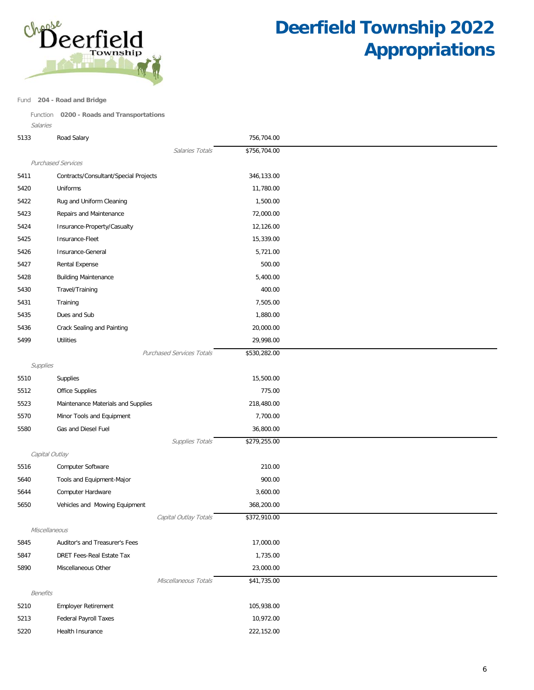

#### Fund **204 - Road and Bridge**

Function **0200 - Roads and Transportations**

| Salaries        |                                       |              |
|-----------------|---------------------------------------|--------------|
| 5133            | Road Salary                           | 756,704.00   |
|                 | Salaries Totals                       | \$756,704.00 |
|                 | <b>Purchased Services</b>             |              |
| 5411            | Contracts/Consultant/Special Projects | 346,133.00   |
| 5420            | Uniforms                              | 11,780.00    |
| 5422            | Rug and Uniform Cleaning              | 1,500.00     |
| 5423            | Repairs and Maintenance               | 72,000.00    |
| 5424            | Insurance-Property/Casualty           | 12,126.00    |
| 5425            | Insurance-Fleet                       | 15,339.00    |
| 5426            | Insurance-General                     | 5,721.00     |
| 5427            | Rental Expense                        | 500.00       |
| 5428            | <b>Building Maintenance</b>           | 5,400.00     |
| 5430            | Travel/Training                       | 400.00       |
| 5431            | Training                              | 7,505.00     |
| 5435            | Dues and Sub                          | 1,880.00     |
| 5436            | Crack Sealing and Painting            | 20,000.00    |
| 5499            | <b>Utilities</b>                      | 29,998.00    |
|                 | <b>Purchased Services Totals</b>      | \$530,282.00 |
| Supplies        |                                       |              |
| 5510            | Supplies                              | 15,500.00    |
| 5512            | <b>Office Supplies</b>                | 775.00       |
| 5523            | Maintenance Materials and Supplies    | 218,480.00   |
| 5570            | Minor Tools and Equipment             | 7,700.00     |
| 5580            | Gas and Diesel Fuel                   | 36,800.00    |
|                 | Supplies Totals                       | \$279,255.00 |
|                 | Capital Outlay                        |              |
| 5516            | Computer Software                     | 210.00       |
| 5640            | Tools and Equipment-Major             | 900.00       |
| 5644            | Computer Hardware                     | 3,600.00     |
| 5650            | Vehicles and Mowing Equipment         | 368,200.00   |
|                 | Capital Outlay Totals                 | \$372,910.00 |
|                 | Miscellaneous                         |              |
| 5845            | Auditor's and Treasurer's Fees        | 17,000.00    |
| 5847            | DRET Fees-Real Estate Tax             | 1,735.00     |
| 5890            | Miscellaneous Other                   | 23,000.00    |
|                 | Miscellaneous Totals                  | \$41,735.00  |
| <b>Benefits</b> |                                       |              |
| 5210            | <b>Employer Retirement</b>            | 105,938.00   |
| 5213            | Federal Payroll Taxes                 | 10,972.00    |
| 5220            | Health Insurance                      | 222,152.00   |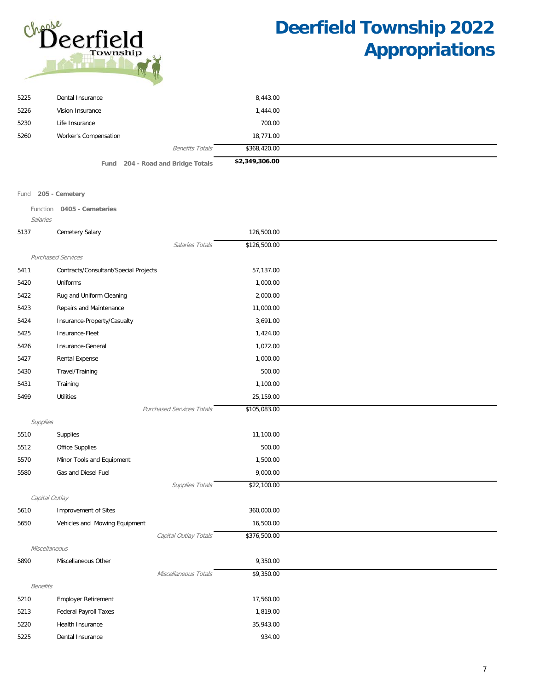

|      | Freed OOA Book and Building Takels. | \$2,349,306.00 |  |
|------|-------------------------------------|----------------|--|
|      | <b>Benefits Totals</b>              | \$368,420.00   |  |
| 5260 | Worker's Compensation               | 18,771.00      |  |
| 5230 | Life Insurance                      | 700.00         |  |
| 5226 | Vision Insurance                    | 1,444.00       |  |
| 5225 | Dental Insurance                    | 8,443.00       |  |
|      |                                     |                |  |

**fund** 204 - Road and Bridge Totals **\$2,349** 

Fund **205 - Cemetery**

Function **0405 - Cemeteries**

| Salaries        |                                       |              |
|-----------------|---------------------------------------|--------------|
| 5137            | Cemetery Salary                       | 126,500.00   |
|                 | Salaries Totals                       | \$126,500.00 |
|                 | Purchased Services                    |              |
| 5411            | Contracts/Consultant/Special Projects | 57,137.00    |
| 5420            | Uniforms                              | 1,000.00     |
| 5422            | Rug and Uniform Cleaning              | 2,000.00     |
| 5423            | Repairs and Maintenance               | 11,000.00    |
| 5424            | Insurance-Property/Casualty           | 3,691.00     |
| 5425            | Insurance-Fleet                       | 1,424.00     |
| 5426            | Insurance-General                     | 1,072.00     |
| 5427            | Rental Expense                        | 1,000.00     |
| 5430            | Travel/Training                       | 500.00       |
| 5431            | Training                              | 1,100.00     |
| 5499            | <b>Utilities</b>                      | 25,159.00    |
|                 | <b>Purchased Services Totals</b>      | \$105,083.00 |
| Supplies        |                                       |              |
| 5510            | Supplies                              | 11,100.00    |
| 5512            | <b>Office Supplies</b>                | 500.00       |
| 5570            | Minor Tools and Equipment             | 1,500.00     |
| 5580            | Gas and Diesel Fuel                   | 9,000.00     |
|                 | Supplies Totals                       | \$22,100.00  |
|                 | Capital Outlay                        |              |
| 5610            | Improvement of Sites                  | 360,000.00   |
| 5650            | Vehicles and Mowing Equipment         | 16,500.00    |
|                 | Capital Outlay Totals                 | \$376,500.00 |
|                 | Miscellaneous                         |              |
| 5890            | Miscellaneous Other                   | 9,350.00     |
|                 | Miscellaneous Totals                  | \$9,350.00   |
| <b>Benefits</b> |                                       |              |
| 5210            | <b>Employer Retirement</b>            | 17,560.00    |
| 5213            | Federal Payroll Taxes                 | 1,819.00     |
| 5220            | Health Insurance                      | 35,943.00    |
| 5225            | Dental Insurance                      | 934.00       |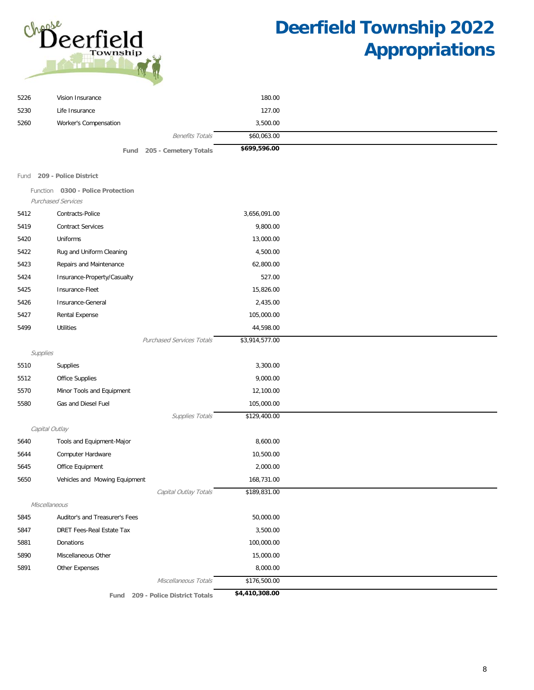

| 5226     | Vision Insurance                  |                                   | 180.00         |  |
|----------|-----------------------------------|-----------------------------------|----------------|--|
| 5230     | Life Insurance                    |                                   | 127.00         |  |
| 5260     | Worker's Compensation             |                                   | 3,500.00       |  |
|          |                                   | <b>Benefits Totals</b>            | \$60,063.00    |  |
|          | Fund                              | 205 - Cemetery Totals             | \$699,596.00   |  |
|          |                                   |                                   |                |  |
| Fund     | 209 - Police District             |                                   |                |  |
|          | Function 0300 - Police Protection |                                   |                |  |
|          | <b>Purchased Services</b>         |                                   |                |  |
| 5412     | Contracts-Police                  |                                   | 3,656,091.00   |  |
| 5419     | <b>Contract Services</b>          |                                   | 9,800.00       |  |
| 5420     | Uniforms                          |                                   | 13,000.00      |  |
| 5422     | Rug and Uniform Cleaning          |                                   | 4,500.00       |  |
| 5423     | Repairs and Maintenance           |                                   | 62,800.00      |  |
| 5424     | Insurance-Property/Casualty       |                                   | 527.00         |  |
| 5425     | Insurance-Fleet                   |                                   | 15,826.00      |  |
| 5426     | Insurance-General                 |                                   | 2,435.00       |  |
| 5427     | Rental Expense                    |                                   | 105,000.00     |  |
| 5499     | <b>Utilities</b>                  |                                   | 44,598.00      |  |
|          |                                   | <b>Purchased Services Totals</b>  | \$3,914,577.00 |  |
| Supplies |                                   |                                   |                |  |
| 5510     | Supplies                          |                                   | 3,300.00       |  |
| 5512     | Office Supplies                   |                                   | 9,000.00       |  |
| 5570     | Minor Tools and Equipment         |                                   | 12,100.00      |  |
| 5580     | Gas and Diesel Fuel               |                                   | 105,000.00     |  |
|          |                                   | Supplies Totals                   | \$129,400.00   |  |
|          | Capital Outlay                    |                                   |                |  |
| 5640     | Tools and Equipment-Major         |                                   | 8,600.00       |  |
| 5644     | Computer Hardware                 |                                   | 10,500.00      |  |
| 5645     | Office Equipment                  |                                   | 2,000.00       |  |
| 5650     | Vehicles and Mowing Equipment     |                                   | 168,731.00     |  |
|          |                                   | Capital Outlay Totals             | \$189,831.00   |  |
|          | Miscellaneous                     |                                   |                |  |
| 5845     | Auditor's and Treasurer's Fees    |                                   | 50,000.00      |  |
| 5847     | DRET Fees-Real Estate Tax         |                                   | 3,500.00       |  |
| 5881     | Donations                         |                                   | 100,000.00     |  |
| 5890     | Miscellaneous Other               |                                   | 15,000.00      |  |
| 5891     | Other Expenses                    |                                   | 8,000.00       |  |
|          |                                   | Miscellaneous Totals              | \$176,500.00   |  |
|          |                                   | Fund 209 - Police District Totals | \$4,410,308.00 |  |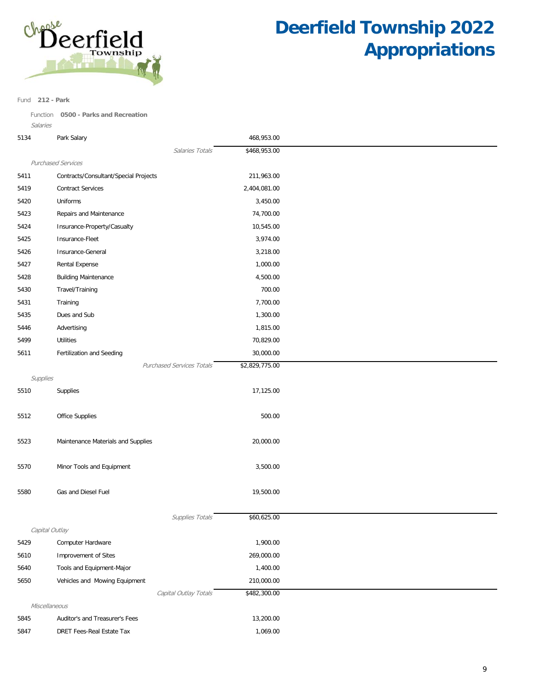

Fund **212 - Park**

Function **0500 - Parks and Recreation**

| 5134           | Park Salary                           | 468,953.00     |  |
|----------------|---------------------------------------|----------------|--|
|                | Salaries Totals                       | \$468,953.00   |  |
|                | <b>Purchased Services</b>             |                |  |
| 5411           | Contracts/Consultant/Special Projects | 211,963.00     |  |
| 5419           | <b>Contract Services</b>              | 2,404,081.00   |  |
| 5420           | Uniforms                              | 3,450.00       |  |
| 5423           | Repairs and Maintenance               | 74,700.00      |  |
| 5424           | Insurance-Property/Casualty           | 10,545.00      |  |
| 5425           | Insurance-Fleet                       | 3,974.00       |  |
| 5426           | Insurance-General                     | 3,218.00       |  |
| 5427           | Rental Expense                        | 1,000.00       |  |
| 5428           | <b>Building Maintenance</b>           | 4,500.00       |  |
| 5430           | Travel/Training                       | 700.00         |  |
| 5431           | Training                              | 7,700.00       |  |
| 5435           | Dues and Sub                          | 1,300.00       |  |
| 5446           | Advertising                           | 1,815.00       |  |
| 5499           | <b>Utilities</b>                      | 70,829.00      |  |
| 5611           | Fertilization and Seeding             | 30,000.00      |  |
|                | <b>Purchased Services Totals</b>      | \$2,829,775.00 |  |
| Supplies       |                                       |                |  |
| 5510           | Supplies                              | 17,125.00      |  |
|                |                                       |                |  |
| 5512           | Office Supplies                       | 500.00         |  |
|                |                                       |                |  |
| 5523           | Maintenance Materials and Supplies    | 20,000.00      |  |
|                |                                       |                |  |
| 5570           | Minor Tools and Equipment             | 3,500.00       |  |
|                |                                       |                |  |
| 5580           | Gas and Diesel Fuel                   | 19,500.00      |  |
|                |                                       |                |  |
|                | Supplies Totals                       | \$60,625.00    |  |
| Capital Outlay |                                       |                |  |
| 5429           | Computer Hardware                     | 1,900.00       |  |
| 5610           | <b>Improvement of Sites</b>           | 269,000.00     |  |
| 5640           | Tools and Equipment-Major             | 1,400.00       |  |
| 5650           | Vehicles and Mowing Equipment         | 210,000.00     |  |
|                | Capital Outlay Totals                 | \$482,300.00   |  |
| Miscellaneous  |                                       |                |  |
| 5845           | Auditor's and Treasurer's Fees        | 13,200.00      |  |

5847 DRET Fees-Real Estate Tax 1,069.00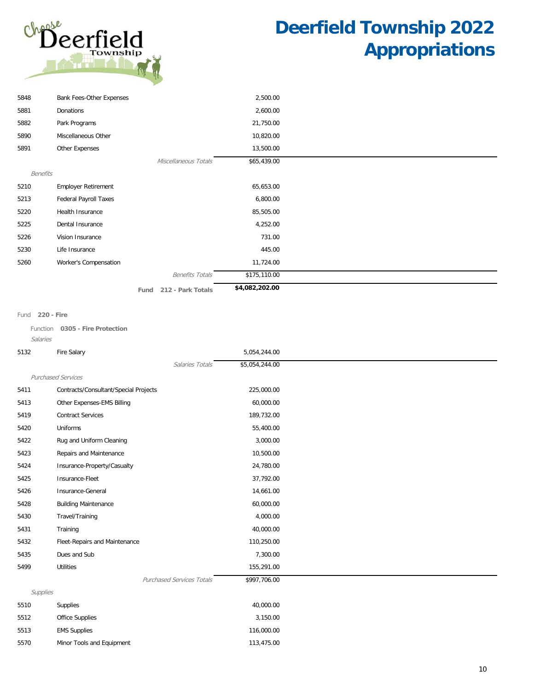

| 5848     | Bank Fees-Other Expenses   |      |                        | 2,500.00       |  |
|----------|----------------------------|------|------------------------|----------------|--|
| 5881     | Donations                  |      |                        | 2,600.00       |  |
| 5882     | Park Programs              |      |                        | 21,750.00      |  |
| 5890     | Miscellaneous Other        |      |                        | 10,820.00      |  |
| 5891     | Other Expenses             |      |                        | 13,500.00      |  |
|          |                            |      | Miscellaneous Totals   | \$65,439.00    |  |
| Benefits |                            |      |                        |                |  |
| 5210     | <b>Employer Retirement</b> |      |                        | 65,653.00      |  |
| 5213     | Federal Payroll Taxes      |      |                        | 6,800.00       |  |
| 5220     | Health Insurance           |      |                        | 85,505.00      |  |
| 5225     | Dental Insurance           |      |                        | 4,252.00       |  |
| 5226     | Vision Insurance           |      |                        | 731.00         |  |
| 5230     | Life Insurance             |      |                        | 445.00         |  |
| 5260     | Worker's Compensation      |      |                        | 11,724.00      |  |
|          |                            |      | <b>Benefits Totals</b> | \$175,110.00   |  |
|          |                            | Fund | 212 - Park Totals      | \$4,082,202.00 |  |

#### Fund **220 - Fire**

Function **0305 - Fire Protection** Salaries

| 5132     | Fire Salary                           | 5,054,244.00   |
|----------|---------------------------------------|----------------|
|          | Salaries Totals                       | \$5,054,244.00 |
|          | <b>Purchased Services</b>             |                |
| 5411     | Contracts/Consultant/Special Projects | 225,000.00     |
| 5413     | Other Expenses-EMS Billing            | 60,000.00      |
| 5419     | <b>Contract Services</b>              | 189,732.00     |
| 5420     | Uniforms                              | 55,400.00      |
| 5422     | Rug and Uniform Cleaning              | 3,000.00       |
| 5423     | Repairs and Maintenance               | 10,500.00      |
| 5424     | Insurance-Property/Casualty           | 24,780.00      |
| 5425     | Insurance-Fleet                       | 37,792.00      |
| 5426     | Insurance-General                     | 14,661.00      |
| 5428     | <b>Building Maintenance</b>           | 60,000.00      |
| 5430     | Travel/Training                       | 4,000.00       |
| 5431     | Training                              | 40,000.00      |
| 5432     | Fleet-Repairs and Maintenance         | 110,250.00     |
| 5435     | Dues and Sub                          | 7,300.00       |
| 5499     | <b>Utilities</b>                      | 155,291.00     |
|          | <b>Purchased Services Totals</b>      | \$997,706.00   |
| Supplies |                                       |                |
| 5510     | Supplies                              | 40,000.00      |
| 5512     | Office Supplies                       | 3,150.00       |
| 5513     | <b>EMS Supplies</b>                   | 116,000.00     |
| 5570     | Minor Tools and Equipment             | 113,475.00     |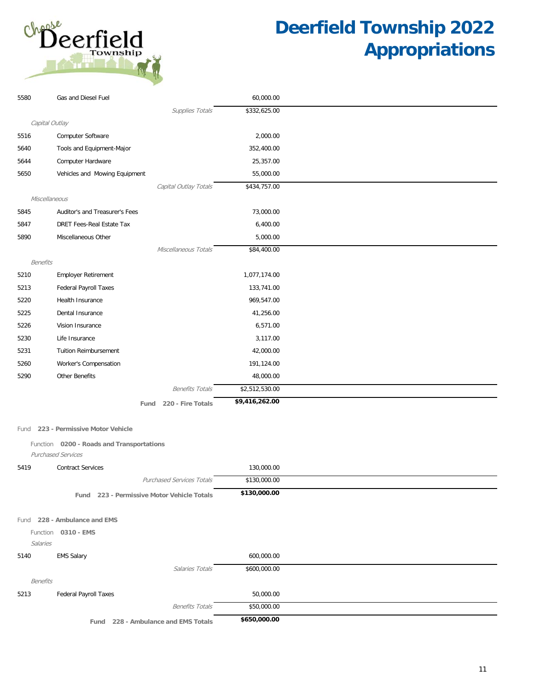

| 5580            | Gas and Diesel Fuel                        | 60,000.00      |  |
|-----------------|--------------------------------------------|----------------|--|
|                 | Supplies Totals                            | \$332,625.00   |  |
|                 | Capital Outlay                             |                |  |
| 5516            | Computer Software                          | 2,000.00       |  |
| 5640            | Tools and Equipment-Major                  | 352,400.00     |  |
| 5644            | Computer Hardware                          | 25,357.00      |  |
| 5650            | Vehicles and Mowing Equipment              | 55,000.00      |  |
|                 | Capital Outlay Totals                      | \$434,757.00   |  |
| Miscellaneous   |                                            |                |  |
| 5845            | Auditor's and Treasurer's Fees             | 73,000.00      |  |
| 5847            | DRET Fees-Real Estate Tax                  | 6,400.00       |  |
| 5890            | Miscellaneous Other                        | 5,000.00       |  |
|                 | Miscellaneous Totals                       | \$84,400.00    |  |
| <b>Benefits</b> |                                            |                |  |
| 5210            | Employer Retirement                        | 1,077,174.00   |  |
| 5213            | Federal Payroll Taxes                      | 133,741.00     |  |
| 5220            | Health Insurance                           | 969,547.00     |  |
| 5225            | Dental Insurance                           | 41,256.00      |  |
| 5226            | Vision Insurance                           | 6,571.00       |  |
| 5230            | Life Insurance                             | 3,117.00       |  |
| 5231            | <b>Tuition Reimbursement</b>               | 42,000.00      |  |
| 5260            | Worker's Compensation                      | 191,124.00     |  |
| 5290            | Other Benefits                             | 48,000.00      |  |
|                 | <b>Benefits Totals</b>                     | \$2,512,530.00 |  |
|                 | Fund 220 - Fire Totals                     | \$9,416,262.00 |  |
|                 |                                            |                |  |
| Fund            | 223 - Permissive Motor Vehicle             |                |  |
|                 | Function 0200 - Roads and Transportations  |                |  |
|                 | Purchased Services                         |                |  |
| 5419            | <b>Contract Services</b>                   | 130,000.00     |  |
|                 | Purchased Services Totals                  | \$130,000.00   |  |
|                 | Fund 223 - Permissive Motor Vehicle Totals | \$130,000.00   |  |
|                 |                                            |                |  |
|                 | Fund 228 - Ambulance and EMS               |                |  |
|                 | Function 0310 - EMS                        |                |  |
| Salaries        |                                            |                |  |
| 5140            | <b>EMS Salary</b>                          | 600,000.00     |  |
|                 | Salaries Totals                            | \$600,000.00   |  |
| <b>Benefits</b> |                                            |                |  |
| 5213            | <b>Federal Payroll Taxes</b>               | 50,000.00      |  |
|                 | <b>Benefits Totals</b>                     | \$50,000.00    |  |
|                 | 228 - Ambulance and EMS Totals<br>Fund     | \$650,000.00   |  |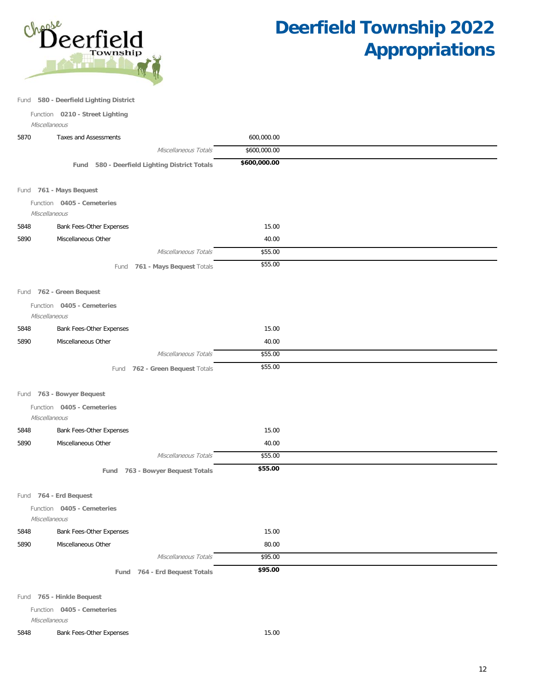

Fund **580 - Deerfield Lighting District**

Function **0210 - Street Lighting**

Miscellaneous

| 5870 | <b>Taxes and Assessments</b>                |                                               | 600,000.00   |  |
|------|---------------------------------------------|-----------------------------------------------|--------------|--|
|      |                                             | Miscellaneous Totals                          | \$600,000.00 |  |
|      |                                             | Fund 580 - Deerfield Lighting District Totals | \$600,000.00 |  |
|      |                                             |                                               |              |  |
|      | Fund 761 - Mays Bequest                     |                                               |              |  |
|      | Function 0405 - Cemeteries                  |                                               |              |  |
|      | Miscellaneous                               |                                               |              |  |
| 5848 | Bank Fees-Other Expenses                    |                                               | 15.00        |  |
| 5890 | Miscellaneous Other                         |                                               | 40.00        |  |
|      |                                             | Miscellaneous Totals                          | \$55.00      |  |
|      |                                             | Fund 761 - Mays Bequest Totals                | \$55.00      |  |
|      |                                             |                                               |              |  |
|      | Fund 762 - Green Bequest                    |                                               |              |  |
|      | Function 0405 - Cemeteries<br>Miscellaneous |                                               |              |  |
| 5848 | Bank Fees-Other Expenses                    |                                               | 15.00        |  |
| 5890 | Miscellaneous Other                         |                                               | 40.00        |  |
|      |                                             | Miscellaneous Totals                          | \$55.00      |  |
|      |                                             | Fund 762 - Green Bequest Totals               | \$55.00      |  |
|      |                                             |                                               |              |  |
|      | Fund 763 - Bowyer Bequest                   |                                               |              |  |
|      | Function 0405 - Cemeteries<br>Miscellaneous |                                               |              |  |
| 5848 | Bank Fees-Other Expenses                    |                                               | 15.00        |  |
| 5890 | Miscellaneous Other                         |                                               | 40.00        |  |
|      |                                             | Miscellaneous Totals                          | \$55.00      |  |
|      |                                             | Fund 763 - Bowyer Bequest Totals              | \$55.00      |  |
|      |                                             |                                               |              |  |
|      | Fund 764 - Erd Bequest                      |                                               |              |  |
|      | Function 0405 - Cemeteries<br>Miscellaneous |                                               |              |  |
| 5848 | Bank Fees-Other Expenses                    |                                               | 15.00        |  |
| 5890 | Miscellaneous Other                         |                                               | 80.00        |  |
|      |                                             | Miscellaneous Totals                          | \$95.00      |  |
|      |                                             | Fund 764 - Erd Bequest Totals                 | \$95.00      |  |
|      |                                             |                                               |              |  |
|      | Fund 765 - Hinkle Bequest                   |                                               |              |  |

Function **0405 - Cemeteries**

Miscellaneous

5848 Bank Fees-Other Expenses 15.00